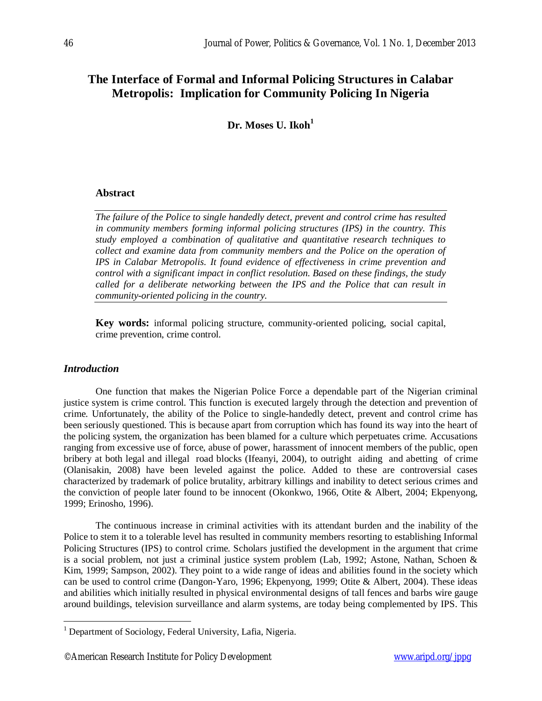# **The Interface of Formal and Informal Policing Structures in Calabar Metropolis: Implication for Community Policing In Nigeria**

**Dr. Moses U. Ikoh<sup>1</sup>**

## **Abstract**

*The failure of the Police to single handedly detect, prevent and control crime has resulted in community members forming informal policing structures (IPS) in the country. This study employed a combination of qualitative and quantitative research techniques to collect and examine data from community members and the Police on the operation of IPS in Calabar Metropolis. It found evidence of effectiveness in crime prevention and control with a significant impact in conflict resolution. Based on these findings, the study called for a deliberate networking between the IPS and the Police that can result in community-oriented policing in the country.*

**Key words:** informal policing structure, community-oriented policing, social capital, crime prevention, crime control.

## *Introduction*

 $\overline{a}$ 

One function that makes the Nigerian Police Force a dependable part of the Nigerian criminal justice system is crime control. This function is executed largely through the detection and prevention of crime. Unfortunately, the ability of the Police to single-handedly detect, prevent and control crime has been seriously questioned. This is because apart from corruption which has found its way into the heart of the policing system, the organization has been blamed for a culture which perpetuates crime. Accusations ranging from excessive use of force, abuse of power, harassment of innocent members of the public, open bribery at both legal and illegal road blocks (Ifeanyi, 2004), to outright aiding and abetting of crime (Olanisakin, 2008) have been leveled against the police. Added to these are controversial cases characterized by trademark of police brutality, arbitrary killings and inability to detect serious crimes and the conviction of people later found to be innocent (Okonkwo, 1966, Otite & Albert, 2004; Ekpenyong, 1999; Erinosho, 1996).

The continuous increase in criminal activities with its attendant burden and the inability of the Police to stem it to a tolerable level has resulted in community members resorting to establishing Informal Policing Structures (IPS) to control crime. Scholars justified the development in the argument that crime is a social problem, not just a criminal justice system problem (Lab, 1992; Astone, Nathan, Schoen & Kim, 1999; Sampson, 2002). They point to a wide range of ideas and abilities found in the society which can be used to control crime (Dangon-Yaro, 1996; Ekpenyong, 1999; Otite & Albert, 2004). These ideas and abilities which initially resulted in physical environmental designs of tall fences and barbs wire gauge around buildings, television surveillance and alarm systems, are today being complemented by IPS. This

<sup>&</sup>lt;sup>1</sup> Department of Sociology, Federal University, Lafia, Nigeria.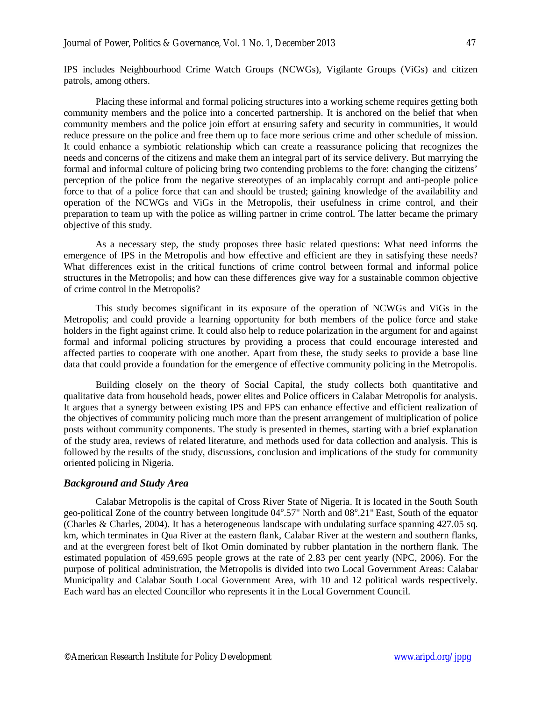IPS includes Neighbourhood Crime Watch Groups (NCWGs), Vigilante Groups (ViGs) and citizen patrols, among others.

Placing these informal and formal policing structures into a working scheme requires getting both community members and the police into a concerted partnership. It is anchored on the belief that when community members and the police join effort at ensuring safety and security in communities, it would reduce pressure on the police and free them up to face more serious crime and other schedule of mission. It could enhance a symbiotic relationship which can create a reassurance policing that recognizes the needs and concerns of the citizens and make them an integral part of its service delivery. But marrying the formal and informal culture of policing bring two contending problems to the fore: changing the citizens' perception of the police from the negative stereotypes of an implacably corrupt and anti-people police force to that of a police force that can and should be trusted; gaining knowledge of the availability and operation of the NCWGs and ViGs in the Metropolis, their usefulness in crime control, and their preparation to team up with the police as willing partner in crime control. The latter became the primary objective of this study.

As a necessary step, the study proposes three basic related questions: What need informs the emergence of IPS in the Metropolis and how effective and efficient are they in satisfying these needs? What differences exist in the critical functions of crime control between formal and informal police structures in the Metropolis; and how can these differences give way for a sustainable common objective of crime control in the Metropolis?

This study becomes significant in its exposure of the operation of NCWGs and ViGs in the Metropolis; and could provide a learning opportunity for both members of the police force and stake holders in the fight against crime. It could also help to reduce polarization in the argument for and against formal and informal policing structures by providing a process that could encourage interested and affected parties to cooperate with one another. Apart from these, the study seeks to provide a base line data that could provide a foundation for the emergence of effective community policing in the Metropolis.

Building closely on the theory of Social Capital, the study collects both quantitative and qualitative data from household heads, power elites and Police officers in Calabar Metropolis for analysis. It argues that a synergy between existing IPS and FPS can enhance effective and efficient realization of the objectives of community policing much more than the present arrangement of multiplication of police posts without community components. The study is presented in themes, starting with a brief explanation of the study area, reviews of related literature, and methods used for data collection and analysis. This is followed by the results of the study, discussions, conclusion and implications of the study for community oriented policing in Nigeria.

#### *Background and Study Area*

Calabar Metropolis is the capital of Cross River State of Nigeria. It is located in the South South geo-political Zone of the country between longitude 04°.57" North and 08°.21" East, South of the equator (Charles & Charles, 2004). It has a heterogeneous landscape with undulating surface spanning 427.05 sq. km, which terminates in Qua River at the eastern flank, Calabar River at the western and southern flanks, and at the evergreen forest belt of Ikot Omin dominated by rubber plantation in the northern flank. The estimated population of 459,695 people grows at the rate of 2.83 per cent yearly (NPC, 2006). For the purpose of political administration, the Metropolis is divided into two Local Government Areas: Calabar Municipality and Calabar South Local Government Area, with 10 and 12 political wards respectively. Each ward has an elected Councillor who represents it in the Local Government Council.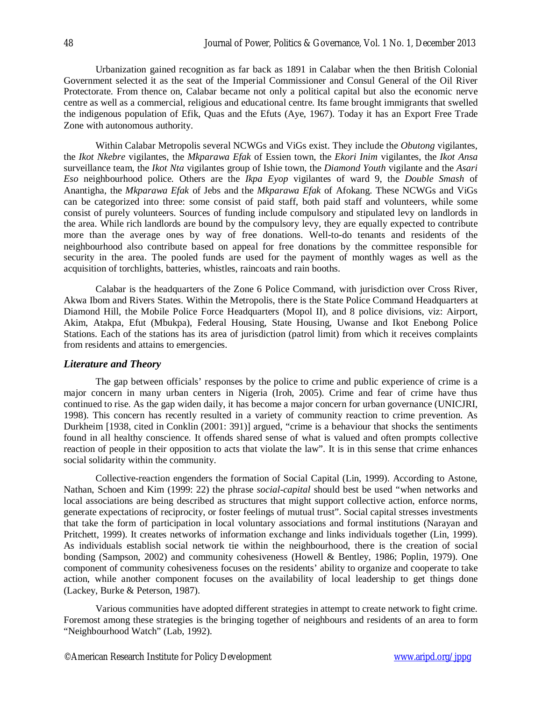Urbanization gained recognition as far back as 1891 in Calabar when the then British Colonial Government selected it as the seat of the Imperial Commissioner and Consul General of the Oil River Protectorate. From thence on, Calabar became not only a political capital but also the economic nerve centre as well as a commercial, religious and educational centre. Its fame brought immigrants that swelled the indigenous population of Efik, Quas and the Efuts (Aye, 1967). Today it has an Export Free Trade Zone with autonomous authority.

Within Calabar Metropolis several NCWGs and ViGs exist. They include the *Obutong* vigilantes, the *Ikot Nkebre* vigilantes, the *Mkparawa Efak* of Essien town, the *Ekori Inim* vigilantes, the *Ikot Ansa* surveillance team, the *Ikot Nta* vigilantes group of Ishie town, the *Diamond Youth* vigilante and the *Asari Eso* neighbourhood police. Others are the *Ikpa Eyop* vigilantes of ward 9, the *Double Smash* of Anantigha, the *Mkparawa Efak* of Jebs and the *Mkparawa Efak* of Afokang. These NCWGs and ViGs can be categorized into three: some consist of paid staff, both paid staff and volunteers, while some consist of purely volunteers. Sources of funding include compulsory and stipulated levy on landlords in the area. While rich landlords are bound by the compulsory levy, they are equally expected to contribute more than the average ones by way of free donations. Well-to-do tenants and residents of the neighbourhood also contribute based on appeal for free donations by the committee responsible for security in the area. The pooled funds are used for the payment of monthly wages as well as the acquisition of torchlights, batteries, whistles, raincoats and rain booths.

Calabar is the headquarters of the Zone 6 Police Command, with jurisdiction over Cross River, Akwa Ibom and Rivers States. Within the Metropolis, there is the State Police Command Headquarters at Diamond Hill, the Mobile Police Force Headquarters (Mopol II), and 8 police divisions, viz: Airport, Akim, Atakpa, Efut (Mbukpa), Federal Housing, State Housing, Uwanse and Ikot Enebong Police Stations. Each of the stations has its area of jurisdiction (patrol limit) from which it receives complaints from residents and attains to emergencies.

## *Literature and Theory*

The gap between officials' responses by the police to crime and public experience of crime is a major concern in many urban centers in Nigeria (Iroh, 2005). Crime and fear of crime have thus continued to rise. As the gap widen daily, it has become a major concern for urban governance (UNICJRI, 1998). This concern has recently resulted in a variety of community reaction to crime prevention. As Durkheim [1938, cited in Conklin (2001: 391)] argued, "crime is a behaviour that shocks the sentiments found in all healthy conscience. It offends shared sense of what is valued and often prompts collective reaction of people in their opposition to acts that violate the law". It is in this sense that crime enhances social solidarity within the community.

Collective-reaction engenders the formation of Social Capital (Lin, 1999). According to Astone, Nathan, Schoen and Kim (1999: 22) the phrase *social-capital* should best be used "when networks and local associations are being described as structures that might support collective action, enforce norms, generate expectations of reciprocity, or foster feelings of mutual trust". Social capital stresses investments that take the form of participation in local voluntary associations and formal institutions (Narayan and Pritchett, 1999). It creates networks of information exchange and links individuals together (Lin, 1999). As individuals establish social network tie within the neighbourhood, there is the creation of social bonding (Sampson, 2002) and community cohesiveness (Howell & Bentley, 1986; Poplin, 1979). One component of community cohesiveness focuses on the residents' ability to organize and cooperate to take action, while another component focuses on the availability of local leadership to get things done (Lackey, Burke & Peterson, 1987).

Various communities have adopted different strategies in attempt to create network to fight crime. Foremost among these strategies is the bringing together of neighbours and residents of an area to form "Neighbourhood Watch" (Lab, 1992).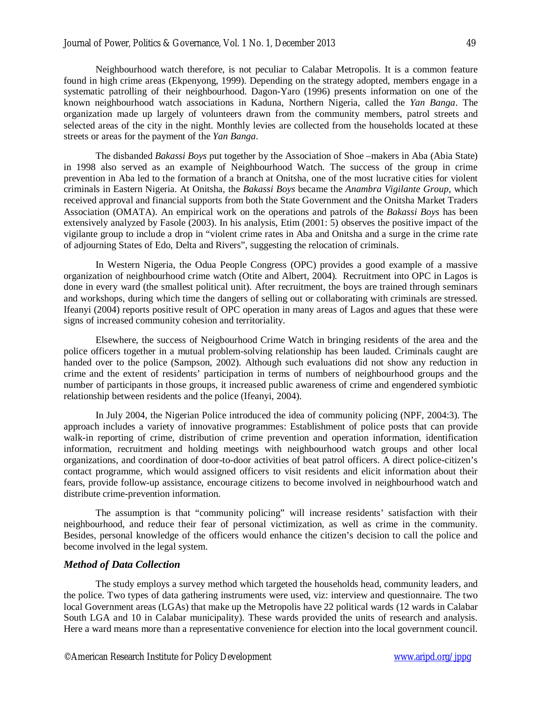Neighbourhood watch therefore, is not peculiar to Calabar Metropolis. It is a common feature found in high crime areas (Ekpenyong, 1999). Depending on the strategy adopted, members engage in a systematic patrolling of their neighbourhood. Dagon-Yaro (1996) presents information on one of the known neighbourhood watch associations in Kaduna, Northern Nigeria, called the *Yan Banga*. The organization made up largely of volunteers drawn from the community members, patrol streets and selected areas of the city in the night. Monthly levies are collected from the households located at these streets or areas for the payment of the *Yan Banga*.

The disbanded *Bakassi Boys* put together by the Association of Shoe –makers in Aba (Abia State) in 1998 also served as an example of Neighbourhood Watch. The success of the group in crime prevention in Aba led to the formation of a branch at Onitsha, one of the most lucrative cities for violent criminals in Eastern Nigeria. At Onitsha, the *Bakassi Boys* became the *Anambra Vigilante Group*, which received approval and financial supports from both the State Government and the Onitsha Market Traders Association (OMATA). An empirical work on the operations and patrols of the *Bakassi Boys* has been extensively analyzed by Fasole (2003). In his analysis, Etim (2001: 5) observes the positive impact of the vigilante group to include a drop in "violent crime rates in Aba and Onitsha and a surge in the crime rate of adjourning States of Edo, Delta and Rivers", suggesting the relocation of criminals.

In Western Nigeria, the Odua People Congress (OPC) provides a good example of a massive organization of neighbourhood crime watch (Otite and Albert, 2004). Recruitment into OPC in Lagos is done in every ward (the smallest political unit). After recruitment, the boys are trained through seminars and workshops, during which time the dangers of selling out or collaborating with criminals are stressed. Ifeanyi (2004) reports positive result of OPC operation in many areas of Lagos and agues that these were signs of increased community cohesion and territoriality.

Elsewhere, the success of Neigbourhood Crime Watch in bringing residents of the area and the police officers together in a mutual problem-solving relationship has been lauded. Criminals caught are handed over to the police (Sampson, 2002). Although such evaluations did not show any reduction in crime and the extent of residents' participation in terms of numbers of neighbourhood groups and the number of participants in those groups, it increased public awareness of crime and engendered symbiotic relationship between residents and the police (Ifeanyi, 2004).

In July 2004, the Nigerian Police introduced the idea of community policing (NPF, 2004:3). The approach includes a variety of innovative programmes: Establishment of police posts that can provide walk-in reporting of crime, distribution of crime prevention and operation information, identification information, recruitment and holding meetings with neighbourhood watch groups and other local organizations, and coordination of door-to-door activities of beat patrol officers. A direct police-citizen's contact programme, which would assigned officers to visit residents and elicit information about their fears, provide follow-up assistance, encourage citizens to become involved in neighbourhood watch and distribute crime-prevention information.

The assumption is that "community policing" will increase residents' satisfaction with their neighbourhood, and reduce their fear of personal victimization, as well as crime in the community. Besides, personal knowledge of the officers would enhance the citizen's decision to call the police and become involved in the legal system.

## *Method of Data Collection*

The study employs a survey method which targeted the households head, community leaders, and the police. Two types of data gathering instruments were used, viz: interview and questionnaire. The two local Government areas (LGAs) that make up the Metropolis have 22 political wards (12 wards in Calabar South LGA and 10 in Calabar municipality). These wards provided the units of research and analysis. Here a ward means more than a representative convenience for election into the local government council.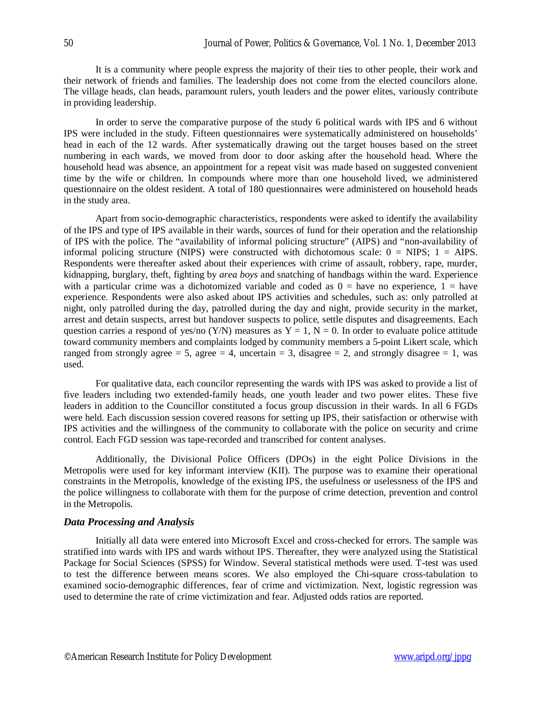It is a community where people express the majority of their ties to other people, their work and their network of friends and families. The leadership does not come from the elected councilors alone. The village heads, clan heads, paramount rulers, youth leaders and the power elites, variously contribute in providing leadership.

In order to serve the comparative purpose of the study 6 political wards with IPS and 6 without IPS were included in the study. Fifteen questionnaires were systematically administered on households' head in each of the 12 wards. After systematically drawing out the target houses based on the street numbering in each wards, we moved from door to door asking after the household head. Where the household head was absence, an appointment for a repeat visit was made based on suggested convenient time by the wife or children. In compounds where more than one household lived, we administered questionnaire on the oldest resident. A total of 180 questionnaires were administered on household heads in the study area.

Apart from socio-demographic characteristics, respondents were asked to identify the availability of the IPS and type of IPS available in their wards, sources of fund for their operation and the relationship of IPS with the police. The "availability of informal policing structure" (AIPS) and "non-availability of informal policing structure (NIPS) were constructed with dichotomous scale:  $0 =$  NIPS;  $1 =$  AIPS. Respondents were thereafter asked about their experiences with crime of assault, robbery, rape, murder, kidnapping, burglary, theft, fighting by *area boys* and snatching of handbags within the ward. Experience with a particular crime was a dichotomized variable and coded as  $0 =$  have no experience,  $1 =$  have experience. Respondents were also asked about IPS activities and schedules, such as: only patrolled at night, only patrolled during the day, patrolled during the day and night, provide security in the market, arrest and detain suspects, arrest but handover suspects to police, settle disputes and disagreements. Each question carries a respond of yes/no (Y/N) measures as  $Y = 1$ ,  $N = 0$ . In order to evaluate police attitude toward community members and complaints lodged by community members a 5-point Likert scale, which ranged from strongly agree = 5, agree = 4, uncertain = 3, disagree = 2, and strongly disagree = 1, was used.

For qualitative data, each councilor representing the wards with IPS was asked to provide a list of five leaders including two extended-family heads, one youth leader and two power elites. These five leaders in addition to the Councillor constituted a focus group discussion in their wards. In all 6 FGDs were held. Each discussion session covered reasons for setting up IPS, their satisfaction or otherwise with IPS activities and the willingness of the community to collaborate with the police on security and crime control. Each FGD session was tape-recorded and transcribed for content analyses.

Additionally, the Divisional Police Officers (DPOs) in the eight Police Divisions in the Metropolis were used for key informant interview (KII). The purpose was to examine their operational constraints in the Metropolis, knowledge of the existing IPS, the usefulness or uselessness of the IPS and the police willingness to collaborate with them for the purpose of crime detection, prevention and control in the Metropolis.

## *Data Processing and Analysis*

Initially all data were entered into Microsoft Excel and cross-checked for errors. The sample was stratified into wards with IPS and wards without IPS. Thereafter, they were analyzed using the Statistical Package for Social Sciences (SPSS) for Window. Several statistical methods were used. T-test was used to test the difference between means scores. We also employed the Chi-square cross-tabulation to examined socio-demographic differences, fear of crime and victimization. Next, logistic regression was used to determine the rate of crime victimization and fear. Adjusted odds ratios are reported.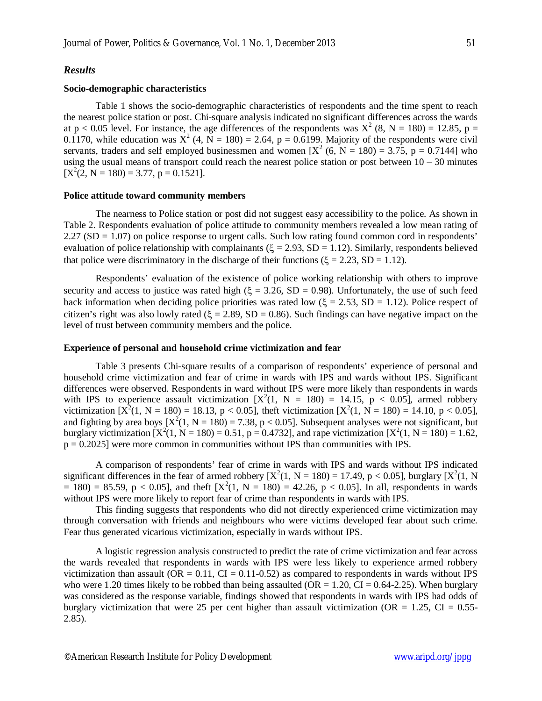#### *Results*

#### **Socio-demographic characteristics**

Table 1 shows the socio-demographic characteristics of respondents and the time spent to reach the nearest police station or post. Chi-square analysis indicated no significant differences across the wards at  $p < 0.05$  level. For instance, the age differences of the respondents was  $X^2$  (8, N = 180) = 12.85, p = 0.1170, while education was  $X^2$  (4, N = 180) = 2.64, p = 0.6199. Majority of the respondents were civil servants, traders and self employed businessmen and women  $[X^2 (6, N = 180) = 3.75, p = 0.7144]$  who using the usual means of transport could reach the nearest police station or post between  $10 - 30$  minutes  $[X^2(2, N = 180) = 3.77, p = 0.1521].$ 

#### **Police attitude toward community members**

The nearness to Police station or post did not suggest easy accessibility to the police. As shown in Table 2. Respondents evaluation of police attitude to community members revealed a low mean rating of 2.27 (SD = 1.07) on police response to urgent calls. Such low rating found common cord in respondents' evaluation of police relationship with complainants ( $\xi = 2.93$ , SD = 1.12). Similarly, respondents believed that police were discriminatory in the discharge of their functions ( $\xi = 2.23$ , SD = 1.12).

Respondents' evaluation of the existence of police working relationship with others to improve security and access to justice was rated high ( $\xi = 3.26$ , SD = 0.98). Unfortunately, the use of such feed back information when deciding police priorities was rated low ( $\xi = 2.53$ , SD = 1.12). Police respect of citizen's right was also lowly rated ( $\xi = 2.89$ , SD = 0.86). Such findings can have negative impact on the level of trust between community members and the police.

#### **Experience of personal and household crime victimization and fear**

Table 3 presents Chi-square results of a comparison of respondents' experience of personal and household crime victimization and fear of crime in wards with IPS and wards without IPS. Significant differences were observed. Respondents in ward without IPS were more likely than respondents in wards with IPS to experience assault victimization  $[X^2(1, N = 180) = 14.15, p < 0.05]$ , armed robbery victimization  $[X^2(1, N = 180) = 18.13, p < 0.05]$ , the ft victimization  $[X^2(1, N = 180) = 14.10, p < 0.05]$ , and fighting by area boys  $[X^2(1, N = 180) = 7.38, p < 0.05]$ . Subsequent analyses were not significant, but burglary victimization  $[X^2(1, N = 180) = 0.51, p = 0.4732]$ , and rape victimization  $[X^2(1, N = 180) = 1.62,$  $p = 0.2025$  were more common in communities without IPS than communities with IPS.

A comparison of respondents' fear of crime in wards with IPS and wards without IPS indicated significant differences in the fear of armed robbery  $[X^2(1, N = 180) = 17.49$ ,  $p < 0.05$ ], burglary  $[X^2(1, N = 180) = 17.49$  $= 180$ ) = 85.59, p < 0.05], and theft  $[X^2(1, N = 180) = 42.26$ , p < 0.05]. In all, respondents in wards without IPS were more likely to report fear of crime than respondents in wards with IPS.

This finding suggests that respondents who did not directly experienced crime victimization may through conversation with friends and neighbours who were victims developed fear about such crime. Fear thus generated vicarious victimization, especially in wards without IPS.

A logistic regression analysis constructed to predict the rate of crime victimization and fear across the wards revealed that respondents in wards with IPS were less likely to experience armed robbery victimization than assault ( $OR = 0.11$ ,  $CI = 0.11$ -0.52) as compared to respondents in wards without IPS who were 1.20 times likely to be robbed than being assaulted ( $OR = 1.20$ ,  $CI = 0.64-2.25$ ). When burglary was considered as the response variable, findings showed that respondents in wards with IPS had odds of burglary victimization that were 25 per cent higher than assault victimization (OR = 1.25, CI = 0.55-2.85).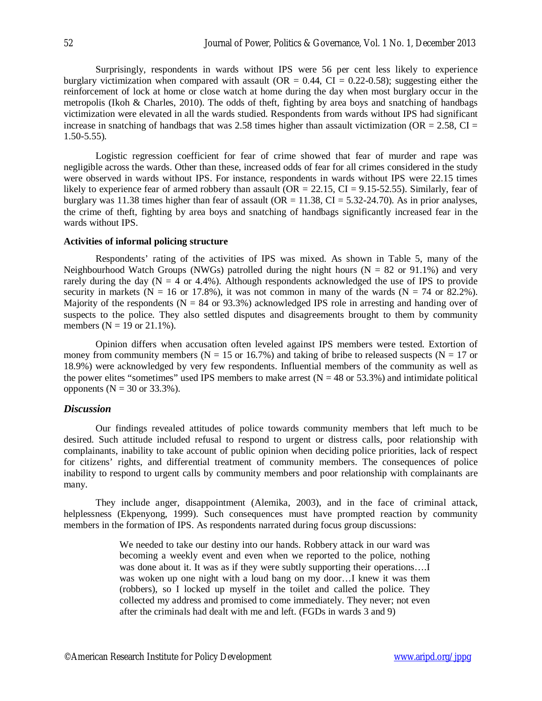Surprisingly, respondents in wards without IPS were 56 per cent less likely to experience burglary victimization when compared with assault (OR =  $0.44$ , CI =  $0.22$ -0.58); suggesting either the reinforcement of lock at home or close watch at home during the day when most burglary occur in the metropolis (Ikoh & Charles, 2010). The odds of theft, fighting by area boys and snatching of handbags victimization were elevated in all the wards studied. Respondents from wards without IPS had significant increase in snatching of handbags that was 2.58 times higher than assault victimization (OR =  $2.58$ , CI = 1.50-5.55).

Logistic regression coefficient for fear of crime showed that fear of murder and rape was negligible across the wards. Other than these, increased odds of fear for all crimes considered in the study were observed in wards without IPS. For instance, respondents in wards without IPS were 22.15 times likely to experience fear of armed robbery than assault (OR = 22.15, CI = 9.15-52.55). Similarly, fear of burglary was 11.38 times higher than fear of assault ( $OR = 11.38$ ,  $CI = 5.32-24.70$ ). As in prior analyses, the crime of theft, fighting by area boys and snatching of handbags significantly increased fear in the wards without **IPS**.

#### **Activities of informal policing structure**

Respondents' rating of the activities of IPS was mixed. As shown in Table 5, many of the Neighbourhood Watch Groups (NWGs) patrolled during the night hours ( $N = 82$  or 91.1%) and very rarely during the day ( $N = 4$  or 4.4%). Although respondents acknowledged the use of IPS to provide security in markets ( $N = 16$  or 17.8%), it was not common in many of the wards ( $N = 74$  or 82.2%). Majority of the respondents ( $N = 84$  or 93.3%) acknowledged IPS role in arresting and handing over of suspects to the police. They also settled disputes and disagreements brought to them by community members ( $N = 19$  or 21.1%).

Opinion differs when accusation often leveled against IPS members were tested. Extortion of money from community members ( $N = 15$  or 16.7%) and taking of bribe to released suspects ( $N = 17$  or 18.9%) were acknowledged by very few respondents. Influential members of the community as well as the power elites "sometimes" used IPS members to make arrest  $(N = 48 \text{ or } 53.3\%)$  and intimidate political opponents ( $N = 30$  or 33.3%).

## *Discussion*

Our findings revealed attitudes of police towards community members that left much to be desired. Such attitude included refusal to respond to urgent or distress calls, poor relationship with complainants, inability to take account of public opinion when deciding police priorities, lack of respect for citizens' rights, and differential treatment of community members. The consequences of police inability to respond to urgent calls by community members and poor relationship with complainants are many.

They include anger, disappointment (Alemika, 2003), and in the face of criminal attack, helplessness (Ekpenyong, 1999). Such consequences must have prompted reaction by community members in the formation of IPS. As respondents narrated during focus group discussions:

> We needed to take our destiny into our hands. Robbery attack in our ward was becoming a weekly event and even when we reported to the police, nothing was done about it. It was as if they were subtly supporting their operations..... was woken up one night with a loud bang on my door…I knew it was them (robbers), so I locked up myself in the toilet and called the police. They collected my address and promised to come immediately. They never; not even after the criminals had dealt with me and left. (FGDs in wards 3 and 9)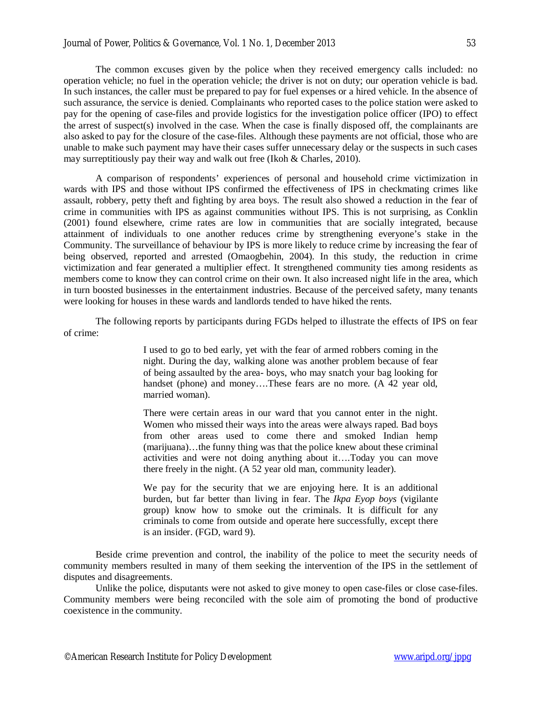The common excuses given by the police when they received emergency calls included: no operation vehicle; no fuel in the operation vehicle; the driver is not on duty; our operation vehicle is bad. In such instances, the caller must be prepared to pay for fuel expenses or a hired vehicle. In the absence of such assurance, the service is denied. Complainants who reported cases to the police station were asked to pay for the opening of case-files and provide logistics for the investigation police officer (IPO) to effect the arrest of suspect(s) involved in the case. When the case is finally disposed off, the complainants are also asked to pay for the closure of the case-files. Although these payments are not official, those who are unable to make such payment may have their cases suffer unnecessary delay or the suspects in such cases may surreptitiously pay their way and walk out free (Ikoh & Charles, 2010).

A comparison of respondents' experiences of personal and household crime victimization in wards with IPS and those without IPS confirmed the effectiveness of IPS in checkmating crimes like assault, robbery, petty theft and fighting by area boys. The result also showed a reduction in the fear of crime in communities with IPS as against communities without IPS. This is not surprising, as Conklin (2001) found elsewhere, crime rates are low in communities that are socially integrated, because attainment of individuals to one another reduces crime by strengthening everyone's stake in the Community. The surveillance of behaviour by IPS is more likely to reduce crime by increasing the fear of being observed, reported and arrested (Omaogbehin, 2004). In this study, the reduction in crime victimization and fear generated a multiplier effect. It strengthened community ties among residents as members come to know they can control crime on their own. It also increased night life in the area, which in turn boosted businesses in the entertainment industries. Because of the perceived safety, many tenants were looking for houses in these wards and landlords tended to have hiked the rents.

The following reports by participants during FGDs helped to illustrate the effects of IPS on fear of crime:

> I used to go to bed early, yet with the fear of armed robbers coming in the night. During the day, walking alone was another problem because of fear of being assaulted by the area- boys, who may snatch your bag looking for handset (phone) and money....These fears are no more. (A 42 year old, married woman).

> There were certain areas in our ward that you cannot enter in the night. Women who missed their ways into the areas were always raped. Bad boys from other areas used to come there and smoked Indian hemp (marijuana)…the funny thing was that the police knew about these criminal activities and were not doing anything about it….Today you can move there freely in the night. (A 52 year old man, community leader).

> We pay for the security that we are enjoying here. It is an additional burden, but far better than living in fear. The *Ikpa Eyop boys* (vigilante group) know how to smoke out the criminals. It is difficult for any criminals to come from outside and operate here successfully, except there is an insider. (FGD, ward 9).

Beside crime prevention and control, the inability of the police to meet the security needs of community members resulted in many of them seeking the intervention of the IPS in the settlement of disputes and disagreements.

Unlike the police, disputants were not asked to give money to open case-files or close case-files. Community members were being reconciled with the sole aim of promoting the bond of productive coexistence in the community.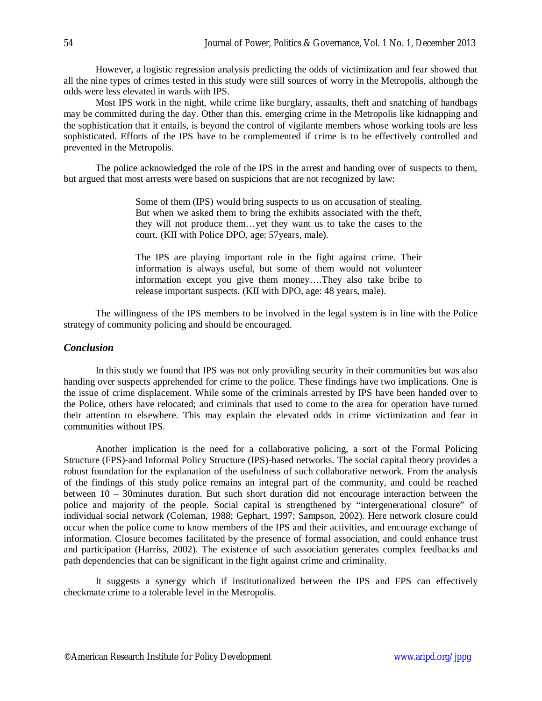However, a logistic regression analysis predicting the odds of victimization and fear showed that all the nine types of crimes tested in this study were still sources of worry in the Metropolis, although the odds were less elevated in wards with IPS.

Most IPS work in the night, while crime like burglary, assaults, theft and snatching of handbags may be committed during the day. Other than this, emerging crime in the Metropolis like kidnapping and the sophistication that it entails, is beyond the control of vigilante members whose working tools are less sophisticated. Efforts of the IPS have to be complemented if crime is to be effectively controlled and prevented in the Metropolis.

The police acknowledged the role of the IPS in the arrest and handing over of suspects to them, but argued that most arrests were based on suspicions that are not recognized by law:

> Some of them (IPS) would bring suspects to us on accusation of stealing. But when we asked them to bring the exhibits associated with the theft, they will not produce them…yet they want us to take the cases to the court. (KII with Police DPO, age: 57years, male).

> The IPS are playing important role in the fight against crime. Their information is always useful, but some of them would not volunteer information except you give them money….They also take bribe to release important suspects. (KII with DPO, age: 48 years, male).

The willingness of the IPS members to be involved in the legal system is in line with the Police strategy of community policing and should be encouraged.

## *Conclusion*

In this study we found that IPS was not only providing security in their communities but was also handing over suspects apprehended for crime to the police. These findings have two implications. One is the issue of crime displacement. While some of the criminals arrested by IPS have been handed over to the Police, others have relocated; and criminals that used to come to the area for operation have turned their attention to elsewhere. This may explain the elevated odds in crime victimization and fear in communities without IPS.

Another implication is the need for a collaborative policing, a sort of the Formal Policing Structure (FPS)-and Informal Policy Structure (IPS)-based networks. The social capital theory provides a robust foundation for the explanation of the usefulness of such collaborative network. From the analysis of the findings of this study police remains an integral part of the community, and could be reached between 10 – 30minutes duration. But such short duration did not encourage interaction between the police and majority of the people. Social capital is strengthened by "intergenerational closure" of individual social network (Coleman, 1988; Gephart, 1997; Sampson, 2002). Here network closure could occur when the police come to know members of the IPS and their activities, and encourage exchange of information. Closure becomes facilitated by the presence of formal association, and could enhance trust and participation (Harriss, 2002). The existence of such association generates complex feedbacks and path dependencies that can be significant in the fight against crime and criminality.

It suggests a synergy which if institutionalized between the IPS and FPS can effectively checkmate crime to a tolerable level in the Metropolis.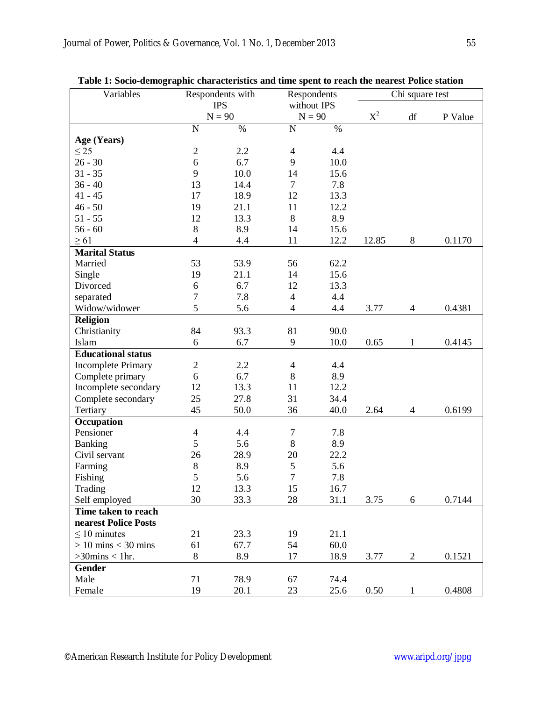| Variables                 |                | Respondents with | Respondents              |      | Chi square test |                          |         |
|---------------------------|----------------|------------------|--------------------------|------|-----------------|--------------------------|---------|
|                           |                | <b>IPS</b>       | without IPS              |      |                 |                          |         |
|                           |                | $N = 90$         | $N = 90$                 |      | $X^2$           | df                       | P Value |
|                           | N              | $\%$             | $\mathbf N$              | $\%$ |                 |                          |         |
| Age (Years)               |                |                  |                          |      |                 |                          |         |
| $\leq$ 25                 | $\sqrt{2}$     | 2.2              | $\overline{4}$           | 4.4  |                 |                          |         |
| $26 - 30$                 | 6              | 6.7              | 9                        | 10.0 |                 |                          |         |
| $31 - 35$                 | 9              | 10.0             | 14                       | 15.6 |                 |                          |         |
| $36 - 40$                 | 13             | 14.4             | $\tau$                   | 7.8  |                 |                          |         |
| $41 - 45$                 | 17             | 18.9             | 12                       | 13.3 |                 |                          |         |
| $46 - 50$                 | 19             | 21.1             | 11                       | 12.2 |                 |                          |         |
| $51 - 55$                 | 12             | 13.3             | 8                        | 8.9  |                 |                          |         |
| $56 - 60$                 | $\, 8$         | 8.9              | 14                       | 15.6 |                 |                          |         |
| $\geq 61$                 | $\overline{4}$ | 4.4              | 11                       | 12.2 | 12.85           | $8\,$                    | 0.1170  |
| <b>Marital Status</b>     |                |                  |                          |      |                 |                          |         |
| Married                   | 53             | 53.9             | 56                       | 62.2 |                 |                          |         |
| Single                    | 19             | 21.1             | 14                       | 15.6 |                 |                          |         |
| Divorced                  | 6              | 6.7              | 12                       | 13.3 |                 |                          |         |
| separated                 | $\tau$         | 7.8              | $\overline{4}$           | 4.4  |                 |                          |         |
| Widow/widower             | 5              | 5.6              | $\overline{4}$           | 4.4  | 3.77            | $\overline{\mathcal{A}}$ | 0.4381  |
| <b>Religion</b>           |                |                  |                          |      |                 |                          |         |
| Christianity              | 84             | 93.3             | 81                       | 90.0 |                 |                          |         |
| Islam                     | 6              | 6.7              | 9                        | 10.0 | 0.65            | $\mathbf{1}$             | 0.4145  |
| <b>Educational status</b> |                |                  |                          |      |                 |                          |         |
| <b>Incomplete Primary</b> | $\mathbf{2}$   | 2.2              | $\overline{\mathcal{A}}$ | 4.4  |                 |                          |         |
| Complete primary          | 6              | 6.7              | 8                        | 8.9  |                 |                          |         |
| Incomplete secondary      | 12             | 13.3             | 11                       | 12.2 |                 |                          |         |
| Complete secondary        | 25             | 27.8             | 31                       | 34.4 |                 |                          |         |
| Tertiary                  | 45             | 50.0             | 36                       | 40.0 | 2.64            | $\overline{\mathcal{A}}$ | 0.6199  |
| Occupation                |                |                  |                          |      |                 |                          |         |
| Pensioner                 | $\overline{4}$ | 4.4              | $\boldsymbol{7}$         | 7.8  |                 |                          |         |
| Banking                   | 5              | 5.6              | 8                        | 8.9  |                 |                          |         |
| Civil servant             | 26             | 28.9             | 20                       | 22.2 |                 |                          |         |
| Farming                   | $\,8\,$        | 8.9              | $\mathfrak s$            | 5.6  |                 |                          |         |
| Fishing                   | 5              | 5.6              | $\overline{7}$           | 7.8  |                 |                          |         |
| Trading                   | 12             | 13.3             | 15                       | 16.7 |                 |                          |         |
| Self employed             | 30             | 33.3             | 28                       | 31.1 | 3.75            | 6                        | 0.7144  |
| Time taken to reach       |                |                  |                          |      |                 |                          |         |
| nearest Police Posts      |                |                  |                          |      |                 |                          |         |
| $\leq 10$ minutes         | 21             | 23.3             | 19                       | 21.1 |                 |                          |         |
| $> 10$ mins $<$ 30 mins   | 61             | 67.7             | 54                       | 60.0 |                 |                          |         |
| $>30$ mins < 1hr.         | 8              | 8.9              | 17                       | 18.9 | 3.77            | $\overline{2}$           | 0.1521  |
| <b>Gender</b>             |                |                  |                          |      |                 |                          |         |
| Male                      | 71             | 78.9             | 67                       | 74.4 |                 |                          |         |
| Female                    | 19             | 20.1             | 23                       | 25.6 | 0.50            | 1                        | 0.4808  |

| Table 1: Socio-demographic characteristics and time spent to reach the nearest Police station |  |  |
|-----------------------------------------------------------------------------------------------|--|--|
|                                                                                               |  |  |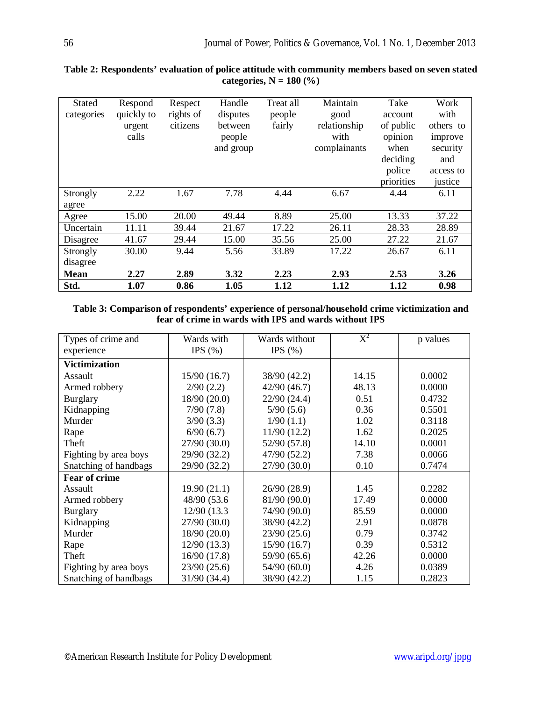| <b>Stated</b> | Respond    | Respect   | Handle    | Treat all | Maintain     | Take       | Work      |
|---------------|------------|-----------|-----------|-----------|--------------|------------|-----------|
| categories    | quickly to | rights of | disputes  | people    | good         | account    | with      |
|               | urgent     | citizens  | between   | fairly    | relationship | of public  | others to |
|               | calls      |           | people    |           | with         | opinion    | improve   |
|               |            |           | and group |           | complainants | when       | security  |
|               |            |           |           |           |              | deciding   | and       |
|               |            |           |           |           |              | police     | access to |
|               |            |           |           |           |              | priorities | justice   |
| Strongly      | 2.22       | 1.67      | 7.78      | 4.44      | 6.67         | 4.44       | 6.11      |
| agree         |            |           |           |           |              |            |           |
| Agree         | 15.00      | 20.00     | 49.44     | 8.89      | 25.00        | 13.33      | 37.22     |
| Uncertain     | 11.11      | 39.44     | 21.67     | 17.22     | 26.11        | 28.33      | 28.89     |
| Disagree      | 41.67      | 29.44     | 15.00     | 35.56     | 25.00        | 27.22      | 21.67     |
| Strongly      | 30.00      | 9.44      | 5.56      | 33.89     | 17.22        | 26.67      | 6.11      |
| disagree      |            |           |           |           |              |            |           |
| <b>Mean</b>   | 2.27       | 2.89      | 3.32      | 2.23      | 2.93         | 2.53       | 3.26      |
| Std.          | 1.07       | 0.86      | 1.05      | 1.12      | 1.12         | 1.12       | 0.98      |

## **Table 2: Respondents' evaluation of police attitude with community members based on seven stated categories, N = 180 (%)**

**Table 3: Comparison of respondents' experience of personal/household crime victimization and fear of crime in wards with IPS and wards without IPS**

| Types of crime and    | Wards with   | Wards without | $\overline{\text{X}}^{2}$ | p values |
|-----------------------|--------------|---------------|---------------------------|----------|
| experience            | IPS $(\% )$  | IPS $(\% )$   |                           |          |
| <b>Victimization</b>  |              |               |                           |          |
| Assault               | 15/90(16.7)  | 38/90 (42.2)  | 14.15                     | 0.0002   |
| Armed robbery         | 2/90(2.2)    | 42/90 (46.7)  | 48.13                     | 0.0000   |
| <b>Burglary</b>       | 18/90(20.0)  | 22/90 (24.4)  | 0.51                      | 0.4732   |
| Kidnapping            | 7/90(7.8)    | 5/90(5.6)     | 0.36                      | 0.5501   |
| Murder                | 3/90(3.3)    | 1/90(1.1)     | 1.02                      | 0.3118   |
| Rape                  | 6/90(6.7)    | 11/90(12.2)   | 1.62                      | 0.2025   |
| Theft                 | 27/90 (30.0) | 52/90 (57.8)  | 14.10                     | 0.0001   |
| Fighting by area boys | 29/90 (32.2) | 47/90 (52.2)  | 7.38                      | 0.0066   |
| Snatching of handbags | 29/90 (32.2) | 27/90 (30.0)  | 0.10                      | 0.7474   |
| Fear of crime         |              |               |                           |          |
| Assault               | 19.90(21.1)  | 26/90 (28.9)  | 1.45                      | 0.2282   |
| Armed robbery         | 48/90 (53.6  | 81/90 (90.0)  | 17.49                     | 0.0000   |
| <b>Burglary</b>       | 12/90 (13.3) | 74/90 (90.0)  | 85.59                     | 0.0000   |
| Kidnapping            | 27/90 (30.0) | 38/90 (42.2)  | 2.91                      | 0.0878   |
| Murder                | 18/90 (20.0) | 23/90(25.6)   | 0.79                      | 0.3742   |
| Rape                  | 12/90(13.3)  | 15/90(16.7)   | 0.39                      | 0.5312   |
| Theft                 | 16/90 (17.8) | 59/90 (65.6)  | 42.26                     | 0.0000   |
| Fighting by area boys | 23/90(25.6)  | 54/90(60.0)   | 4.26                      | 0.0389   |
| Snatching of handbags | 31/90 (34.4) | 38/90 (42.2)  | 1.15                      | 0.2823   |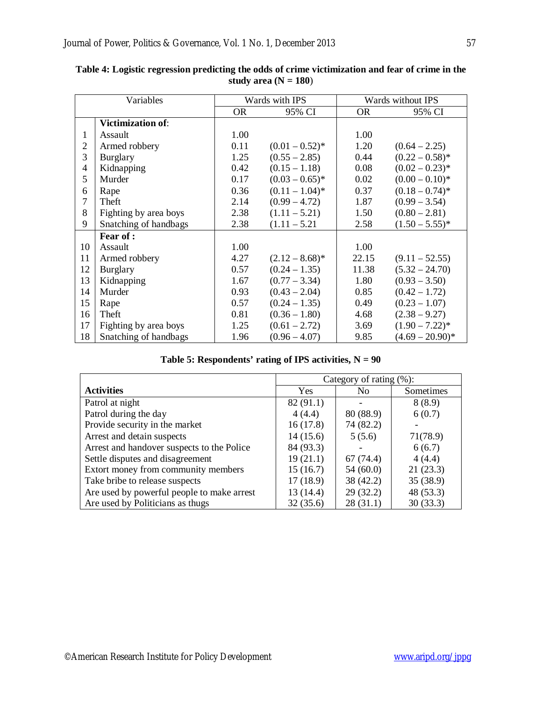| Variables      |                          | Wards with IPS |                   | Wards without IPS |                    |
|----------------|--------------------------|----------------|-------------------|-------------------|--------------------|
|                |                          | <b>OR</b>      | 95% CI            | <b>OR</b>         | 95% CI             |
|                | <b>Victimization of:</b> |                |                   |                   |                    |
| $\mathbf{1}$   | Assault                  | 1.00           |                   | 1.00              |                    |
| $\overline{2}$ | Armed robbery            | 0.11           | $(0.01 - 0.52)^*$ | 1.20              | $(0.64 - 2.25)$    |
| 3              | <b>Burglary</b>          | 1.25           | $(0.55 - 2.85)$   | 0.44              | $(0.22 - 0.58)^*$  |
| 4              | Kidnapping               | 0.42           | $(0.15 - 1.18)$   | 0.08              | $(0.02 - 0.23)^*$  |
| 5              | Murder                   | 0.17           | $(0.03 - 0.65)^*$ | 0.02              | $(0.00 - 0.10)^*$  |
| 6              | Rape                     | 0.36           | $(0.11 - 1.04)^*$ | 0.37              | $(0.18 - 0.74)^*$  |
| $\overline{7}$ | Theft                    | 2.14           | $(0.99 - 4.72)$   | 1.87              | $(0.99 - 3.54)$    |
| 8              | Fighting by area boys    | 2.38           | $(1.11 - 5.21)$   | 1.50              | $(0.80 - 2.81)$    |
| 9              | Snatching of handbags    | 2.38           | $(1.11 - 5.21)$   | 2.58              | $(1.50 - 5.55)^*$  |
|                | Fear of:                 |                |                   |                   |                    |
| 10             | Assault                  | 1.00           |                   | 1.00              |                    |
| 11             | Armed robbery            | 4.27           | $(2.12 - 8.68)^*$ | 22.15             | $(9.11 - 52.55)$   |
| 12             | <b>Burglary</b>          | 0.57           | $(0.24 - 1.35)$   | 11.38             | $(5.32 - 24.70)$   |
| 13             | Kidnapping               | 1.67           | $(0.77 - 3.34)$   | 1.80              | $(0.93 - 3.50)$    |
| 14             | Murder                   | 0.93           | $(0.43 - 2.04)$   | 0.85              | $(0.42 - 1.72)$    |
| 15             | Rape                     | 0.57           | $(0.24 - 1.35)$   | 0.49              | $(0.23 - 1.07)$    |
| 16             | Theft                    | 0.81           | $(0.36 - 1.80)$   | 4.68              | $(2.38 - 9.27)$    |
| 17             | Fighting by area boys    | 1.25           | $(0.61 - 2.72)$   | 3.69              | $(1.90 - 7.22)^*$  |
| 18             | Snatching of handbags    | 1.96           | $(0.96 - 4.07)$   | 9.85              | $(4.69 - 20.90)^*$ |

**Table 4: Logistic regression predicting the odds of crime victimization and fear of crime in the**  study area  $(N = 180)$ 

|                                            | Category of rating $(\%)$ : |           |           |
|--------------------------------------------|-----------------------------|-----------|-----------|
| <b>Activities</b>                          | <b>Yes</b>                  | No.       | Sometimes |
| Patrol at night                            | 82(91.1)                    |           | 8(8.9)    |
| Patrol during the day                      | 4(4.4)                      | 80 (88.9) | 6(0.7)    |
| Provide security in the market             | 16(17.8)                    | 74 (82.2) |           |
| Arrest and detain suspects                 | 14(15.6)                    | 5(5.6)    | 71(78.9)  |
| Arrest and handover suspects to the Police | 84 (93.3)                   |           | 6(6.7)    |
| Settle disputes and disagreement           | 19(21.1)                    | 67(74.4)  | 4(4.4)    |
| Extort money from community members        | 15(16.7)                    | 54(60.0)  | 21(23.3)  |
| Take bribe to release suspects             | 17(18.9)                    | 38 (42.2) | 35 (38.9) |
| Are used by powerful people to make arrest | 13 (14.4)                   | 29(32.2)  | 48 (53.3) |
| Are used by Politicians as thugs           | 32(35.6)                    | 28(31.1)  | 30(33.3)  |